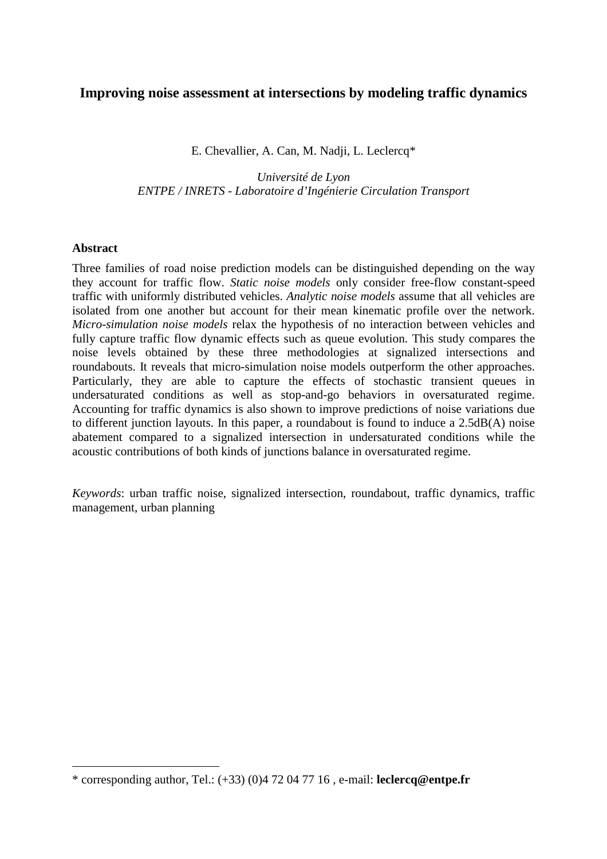# **Improving noise assessment at intersections by modeling traffic dynamics**

E. Chevallier, A. Can, M. Nadji, L. Leclercq\*

*Université de Lyon ENTPE / INRETS - Laboratoire d'Ingénierie Circulation Transport* 

# **Abstract**

 $\overline{a}$ 

Three families of road noise prediction models can be distinguished depending on the way they account for traffic flow. *Static noise models* only consider free-flow constant-speed traffic with uniformly distributed vehicles. *Analytic noise models* assume that all vehicles are isolated from one another but account for their mean kinematic profile over the network. *Micro-simulation noise models* relax the hypothesis of no interaction between vehicles and fully capture traffic flow dynamic effects such as queue evolution. This study compares the noise levels obtained by these three methodologies at signalized intersections and roundabouts. It reveals that micro-simulation noise models outperform the other approaches. Particularly, they are able to capture the effects of stochastic transient queues in undersaturated conditions as well as stop-and-go behaviors in oversaturated regime. Accounting for traffic dynamics is also shown to improve predictions of noise variations due to different junction layouts. In this paper, a roundabout is found to induce a 2.5dB(A) noise abatement compared to a signalized intersection in undersaturated conditions while the acoustic contributions of both kinds of junctions balance in oversaturated regime.

*Keywords*: urban traffic noise, signalized intersection, roundabout, traffic dynamics, traffic management, urban planning

<sup>\*</sup> corresponding author, Tel.: (+33) (0)4 72 04 77 16 , e-mail: **leclercq@entpe.fr**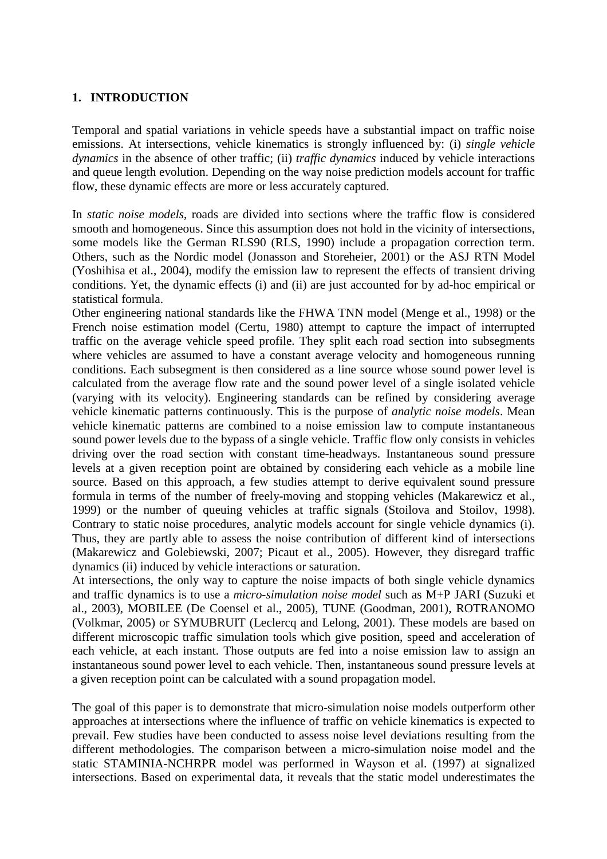# **1. INTRODUCTION**

Temporal and spatial variations in vehicle speeds have a substantial impact on traffic noise emissions. At intersections, vehicle kinematics is strongly influenced by: (i) *single vehicle dynamics* in the absence of other traffic; (ii) *traffic dynamics* induced by vehicle interactions and queue length evolution. Depending on the way noise prediction models account for traffic flow, these dynamic effects are more or less accurately captured.

In *static noise models*, roads are divided into sections where the traffic flow is considered smooth and homogeneous. Since this assumption does not hold in the vicinity of intersections, some models like the German RLS90 (RLS, 1990) include a propagation correction term. Others, such as the Nordic model (Jonasson and Storeheier, 2001) or the ASJ RTN Model (Yoshihisa et al., 2004), modify the emission law to represent the effects of transient driving conditions. Yet, the dynamic effects (i) and (ii) are just accounted for by ad-hoc empirical or statistical formula.

Other engineering national standards like the FHWA TNN model (Menge et al., 1998) or the French noise estimation model (Certu, 1980) attempt to capture the impact of interrupted traffic on the average vehicle speed profile. They split each road section into subsegments where vehicles are assumed to have a constant average velocity and homogeneous running conditions. Each subsegment is then considered as a line source whose sound power level is calculated from the average flow rate and the sound power level of a single isolated vehicle (varying with its velocity). Engineering standards can be refined by considering average vehicle kinematic patterns continuously. This is the purpose of *analytic noise models*. Mean vehicle kinematic patterns are combined to a noise emission law to compute instantaneous sound power levels due to the bypass of a single vehicle. Traffic flow only consists in vehicles driving over the road section with constant time-headways. Instantaneous sound pressure levels at a given reception point are obtained by considering each vehicle as a mobile line source. Based on this approach, a few studies attempt to derive equivalent sound pressure formula in terms of the number of freely-moving and stopping vehicles (Makarewicz et al., 1999) or the number of queuing vehicles at traffic signals (Stoilova and Stoilov, 1998). Contrary to static noise procedures, analytic models account for single vehicle dynamics (i). Thus, they are partly able to assess the noise contribution of different kind of intersections (Makarewicz and Golebiewski, 2007; Picaut et al., 2005). However, they disregard traffic dynamics (ii) induced by vehicle interactions or saturation.

At intersections, the only way to capture the noise impacts of both single vehicle dynamics and traffic dynamics is to use a *micro-simulation noise model* such as M+P JARI (Suzuki et al., 2003), MOBILEE (De Coensel et al., 2005), TUNE (Goodman, 2001), ROTRANOMO (Volkmar, 2005) or SYMUBRUIT (Leclercq and Lelong, 2001). These models are based on different microscopic traffic simulation tools which give position, speed and acceleration of each vehicle, at each instant. Those outputs are fed into a noise emission law to assign an instantaneous sound power level to each vehicle. Then, instantaneous sound pressure levels at a given reception point can be calculated with a sound propagation model.

The goal of this paper is to demonstrate that micro-simulation noise models outperform other approaches at intersections where the influence of traffic on vehicle kinematics is expected to prevail. Few studies have been conducted to assess noise level deviations resulting from the different methodologies. The comparison between a micro-simulation noise model and the static STAMINIA-NCHRPR model was performed in Wayson et al. (1997) at signalized intersections. Based on experimental data, it reveals that the static model underestimates the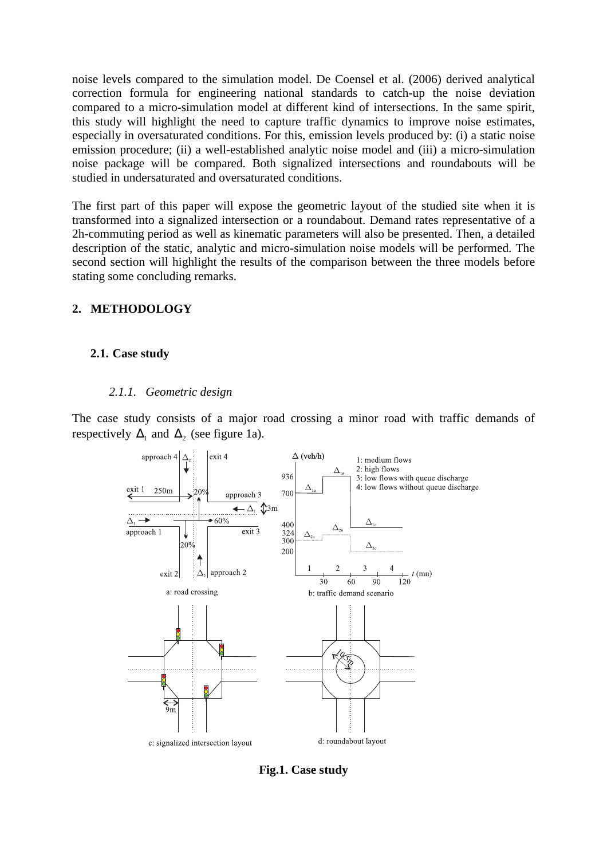noise levels compared to the simulation model. De Coensel et al. (2006) derived analytical correction formula for engineering national standards to catch-up the noise deviation compared to a micro-simulation model at different kind of intersections. In the same spirit, this study will highlight the need to capture traffic dynamics to improve noise estimates, especially in oversaturated conditions. For this, emission levels produced by: (i) a static noise emission procedure; (ii) a well-established analytic noise model and (iii) a micro-simulation noise package will be compared. Both signalized intersections and roundabouts will be studied in undersaturated and oversaturated conditions.

The first part of this paper will expose the geometric layout of the studied site when it is transformed into a signalized intersection or a roundabout. Demand rates representative of a 2h-commuting period as well as kinematic parameters will also be presented. Then, a detailed description of the static, analytic and micro-simulation noise models will be performed. The second section will highlight the results of the comparison between the three models before stating some concluding remarks.

# **2. METHODOLOGY**

# **2.1. Case study**

## *2.1.1. Geometric design*

The case study consists of a major road crossing a minor road with traffic demands of respectively  $\Delta_1$  and  $\Delta_2$  (see figure 1a).



**Fig.1. Case study**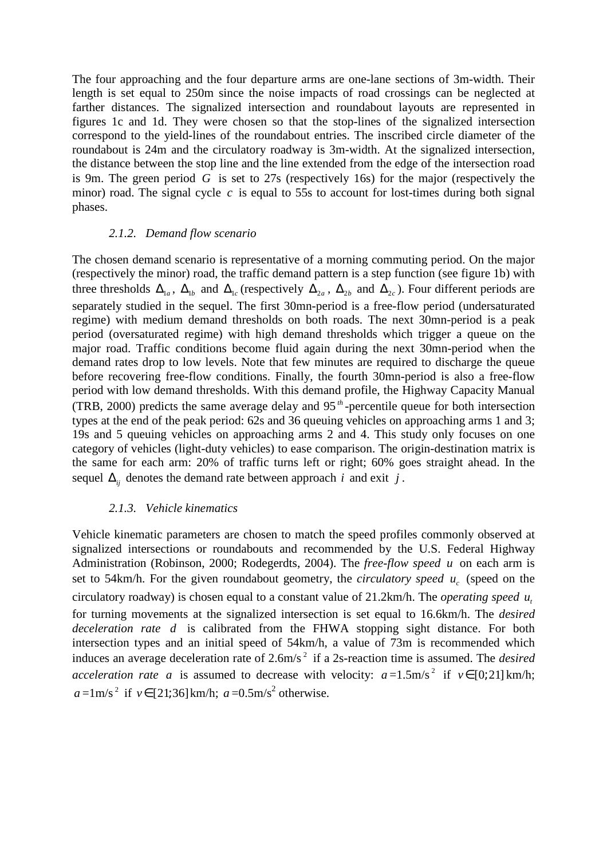The four approaching and the four departure arms are one-lane sections of 3m-width. Their length is set equal to 250m since the noise impacts of road crossings can be neglected at farther distances. The signalized intersection and roundabout layouts are represented in figures 1c and 1d. They were chosen so that the stop-lines of the signalized intersection correspond to the yield-lines of the roundabout entries. The inscribed circle diameter of the roundabout is 24m and the circulatory roadway is 3m-width. At the signalized intersection, the distance between the stop line and the line extended from the edge of the intersection road is 9m. The green period *G* is set to 27s (respectively 16s) for the major (respectively the minor) road. The signal cycle  $c$  is equal to 55s to account for lost-times during both signal phases.

## *2.1.2. Demand flow scenario*

The chosen demand scenario is representative of a morning commuting period. On the major (respectively the minor) road, the traffic demand pattern is a step function (see figure 1b) with three thresholds  $\Delta_{1a}$ ,  $\Delta_{1b}$  and  $\Delta_{1c}$  (respectively  $\Delta_{2a}$ ,  $\Delta_{2b}$  and  $\Delta_{2c}$ ). Four different periods are separately studied in the sequel. The first 30mn-period is a free-flow period (undersaturated regime) with medium demand thresholds on both roads. The next 30mn-period is a peak period (oversaturated regime) with high demand thresholds which trigger a queue on the major road. Traffic conditions become fluid again during the next 30mn-period when the demand rates drop to low levels. Note that few minutes are required to discharge the queue before recovering free-flow conditions. Finally, the fourth 30mn-period is also a free-flow period with low demand thresholds. With this demand profile, the Highway Capacity Manual (TRB, 2000) predicts the same average delay and 95 *th* -percentile queue for both intersection types at the end of the peak period: 62s and 36 queuing vehicles on approaching arms 1 and 3; 19s and 5 queuing vehicles on approaching arms 2 and 4. This study only focuses on one category of vehicles (light-duty vehicles) to ease comparison. The origin-destination matrix is the same for each arm: 20% of traffic turns left or right; 60% goes straight ahead. In the sequel  $\Delta_{ii}$  denotes the demand rate between approach *i* and exit *j*.

# *2.1.3. Vehicle kinematics*

Vehicle kinematic parameters are chosen to match the speed profiles commonly observed at signalized intersections or roundabouts and recommended by the U.S. Federal Highway Administration (Robinson, 2000; Rodegerdts, 2004). The *free-flow speed u* on each arm is set to 54km/h. For the given roundabout geometry, the *circulatory speed*  $u_c$  (speed on the circulatory roadway) is chosen equal to a constant value of 21.2km/h. The *operating speed <sup>t</sup> u* for turning movements at the signalized intersection is set equal to 16.6km/h. The *desired deceleration rate d* is calibrated from the FHWA stopping sight distance. For both intersection types and an initial speed of 54km/h, a value of 73m is recommended which induces an average deceleration rate of 2.6m/s<sup>2</sup> if a 2s-reaction time is assumed. The *desired acceleration rate a* is assumed to decrease with velocity:  $a = 1.5 \text{m/s}^2$  if  $v \in [0; 21] \text{ km/h}$ ;  $a = 1 \text{ m/s}^2$  if  $v \in [21; 36] \text{ km/h}$ ;  $a = 0.5 \text{ m/s}^2$  otherwise.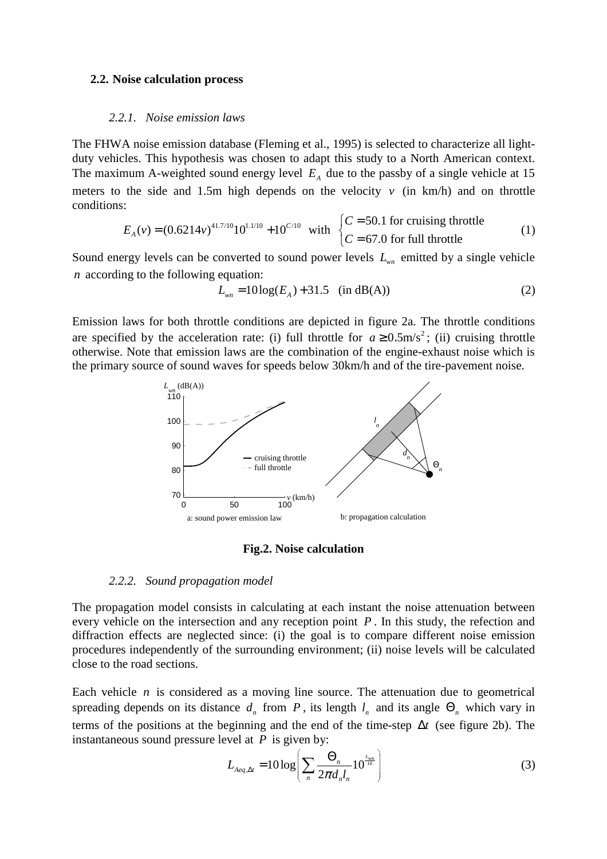#### **2.2. Noise calculation process**

#### *2.2.1. Noise emission laws*

The FHWA noise emission database (Fleming et al., 1995) is selected to characterize all lightduty vehicles. This hypothesis was chosen to adapt this study to a North American context. The maximum A-weighted sound energy level  $E_A$  due to the passby of a single vehicle at 15 meters to the side and 1.5m high depends on the velocity  $v$  (in km/h) and on throttle conditions:

$$
E_A(v) = (0.6214v)^{41.7/10}10^{1.1/10} + 10^{C/10} \text{ with } \begin{cases} C = 50.1 \text{ for crucial in the interval } C = 67.0 \text{ for full throttle} \\ C = 67.0 \text{ for full throttle} \end{cases}
$$
 (1)

Sound energy levels can be converted to sound power levels  $L_{wn}$  emitted by a single vehicle *n* according to the following equation:

$$
L_{wn} = 10\log(E_A) + 31.5 \quad \text{(in dB(A))} \tag{2}
$$

Emission laws for both throttle conditions are depicted in figure 2a. The throttle conditions are specified by the acceleration rate: (i) full throttle for  $a \ge 0.5$ m/s<sup>2</sup>; (ii) cruising throttle otherwise. Note that emission laws are the combination of the engine-exhaust noise which is the primary source of sound waves for speeds below 30km/h and of the tire-pavement noise.



#### **Fig.2. Noise calculation**

#### *2.2.2. Sound propagation model*

The propagation model consists in calculating at each instant the noise attenuation between every vehicle on the intersection and any reception point *P* . In this study, the refection and diffraction effects are neglected since: (i) the goal is to compare different noise emission procedures independently of the surrounding environment; (ii) noise levels will be calculated close to the road sections.

Each vehicle  $n$  is considered as a moving line source. The attenuation due to geometrical spreading depends on its distance  $d_n$  from  $P$ , its length  $l_n$  and its angle  $\Theta_n$  which vary in terms of the positions at the beginning and the end of the time-step ∆*t* (see figure 2b). The instantaneous sound pressure level at *P* is given by:

$$
L_{Aeq,\Delta t} = 10 \log \left( \sum_{n} \frac{\Theta_n}{2\pi d_n l_n} 10^{\frac{L_{\text{win}}}{10}} \right)
$$
 (3)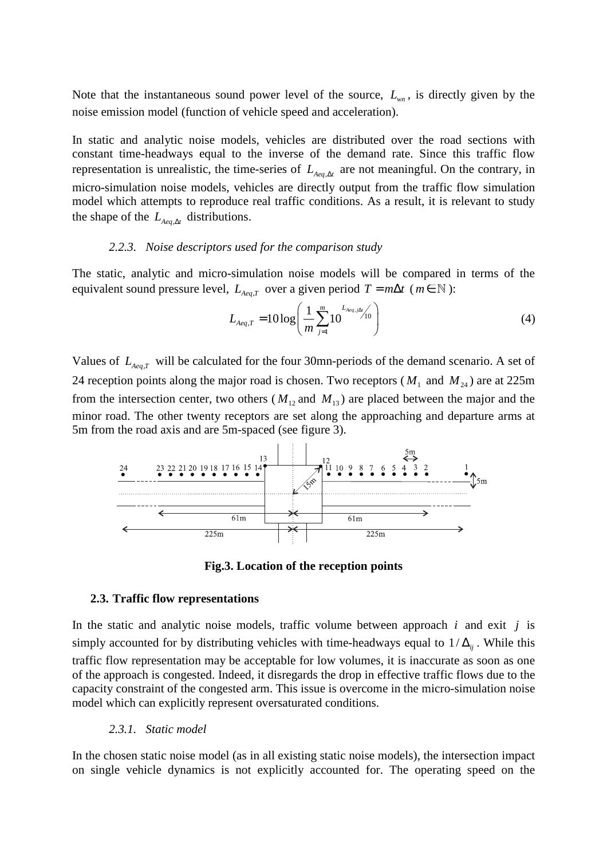Note that the instantaneous sound power level of the source, *Lwn* , is directly given by the noise emission model (function of vehicle speed and acceleration).

In static and analytic noise models, vehicles are distributed over the road sections with constant time-headways equal to the inverse of the demand rate. Since this traffic flow representation is unrealistic, the time-series of  $L_{Aeq, \Delta t}$  are not meaningful. On the contrary, in micro-simulation noise models, vehicles are directly output from the traffic flow simulation model which attempts to reproduce real traffic conditions. As a result, it is relevant to study the shape of the  $L_{Aea, \Delta t}$  distributions.

### *2.2.3. Noise descriptors used for the comparison study*

The static, analytic and micro-simulation noise models will be compared in terms of the equivalent sound pressure level,  $L_{Aeq,T}$  over a given period  $T = m\Delta t$  ( $m \in \mathbb{N}$ ):

$$
L_{Aeq,T} = 10 \log \left( \frac{1}{m} \sum_{j=1}^{m} 10^{L_{Aeq,j}\Delta t} \right) \tag{4}
$$

Values of  $L_{Aeq,T}$  will be calculated for the four 30mn-periods of the demand scenario. A set of 24 reception points along the major road is chosen. Two receptors ( $M_1$  and  $M_{24}$ ) are at 225m from the intersection center, two others ( $M_{12}$  and  $M_{13}$ ) are placed between the major and the minor road. The other twenty receptors are set along the approaching and departure arms at 5m from the road axis and are 5m-spaced (see figure 3).



**Fig.3. Location of the reception points** 

### **2.3. Traffic flow representations**

In the static and analytic noise models, traffic volume between approach *i* and exit *j* is simply accounted for by distributing vehicles with time-headways equal to  $1/\Delta_{ii}$ . While this traffic flow representation may be acceptable for low volumes, it is inaccurate as soon as one of the approach is congested. Indeed, it disregards the drop in effective traffic flows due to the capacity constraint of the congested arm. This issue is overcome in the micro-simulation noise model which can explicitly represent oversaturated conditions.

*2.3.1. Static model* 

In the chosen static noise model (as in all existing static noise models), the intersection impact on single vehicle dynamics is not explicitly accounted for. The operating speed on the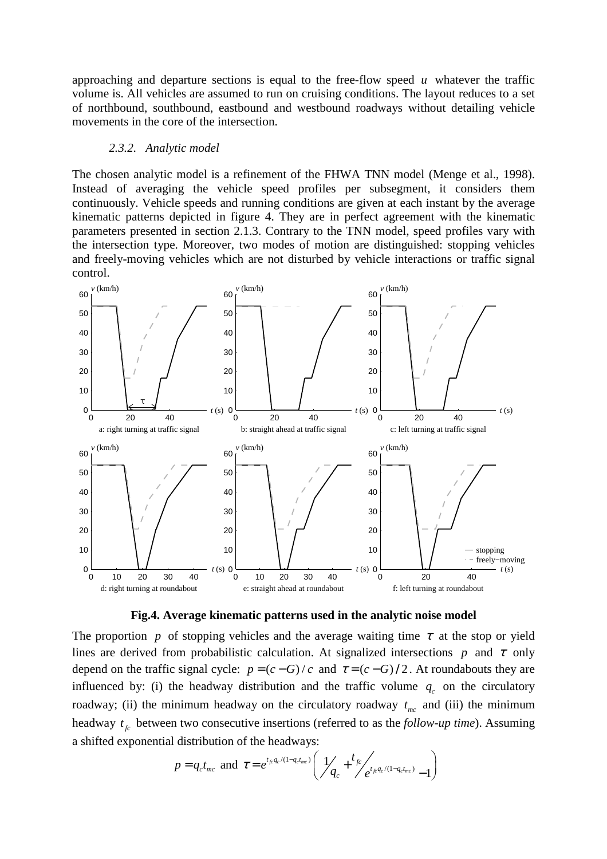approaching and departure sections is equal to the free-flow speed *u* whatever the traffic volume is. All vehicles are assumed to run on cruising conditions. The layout reduces to a set of northbound, southbound, eastbound and westbound roadways without detailing vehicle movements in the core of the intersection.

#### *2.3.2. Analytic model*

The chosen analytic model is a refinement of the FHWA TNN model (Menge et al., 1998). Instead of averaging the vehicle speed profiles per subsegment, it considers them continuously. Vehicle speeds and running conditions are given at each instant by the average kinematic patterns depicted in figure 4. They are in perfect agreement with the kinematic parameters presented in section 2.1.3. Contrary to the TNN model, speed profiles vary with the intersection type. Moreover, two modes of motion are distinguished: stopping vehicles and freely-moving vehicles which are not disturbed by vehicle interactions or traffic signal control.



**Fig.4. Average kinematic patterns used in the analytic noise model** 

The proportion *p* of stopping vehicles and the average waiting time  $\tau$  at the stop or yield lines are derived from probabilistic calculation. At signalized intersections *p* and  $\tau$  only depend on the traffic signal cycle:  $p = (c - G)/c$  and  $\tau = (c - G)/2$ . At roundabouts they are influenced by: (i) the headway distribution and the traffic volume  $q_c$  on the circulatory roadway; (ii) the minimum headway on the circulatory roadway  $t_{mc}$  and (iii) the minimum headway  $t<sub>f</sub>$  between two consecutive insertions (referred to as the *follow-up time*). Assuming a shifted exponential distribution of the headways:

$$
p = q_c t_{mc}
$$
 and  $\tau = e^{t_{fc} q_c/(1 - q_c t_{mc})} \left( \frac{1}{q_c} + \frac{t_{fc}}{e^{t_{fc} q_c/(1 - q_c t_{mc})}} - 1 \right)$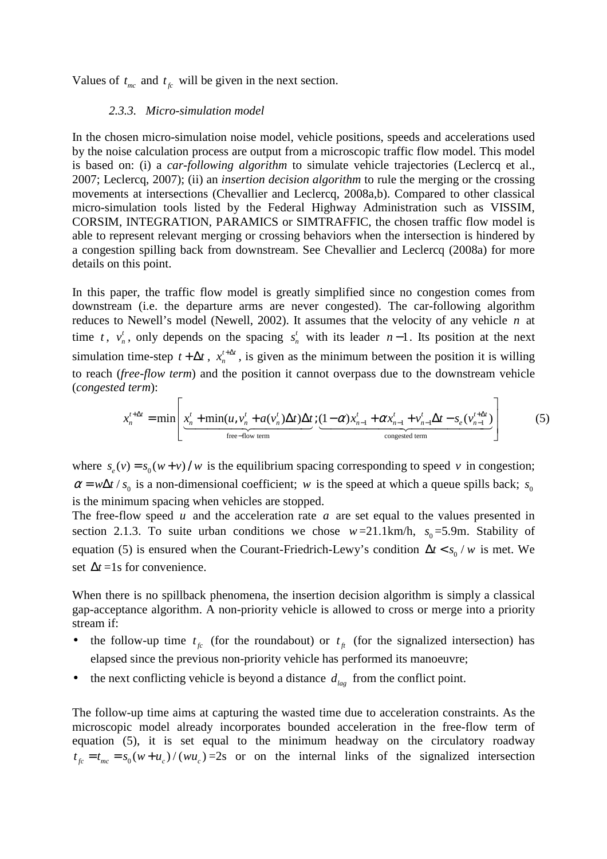Values of  $t_{mc}$  and  $t_{fc}$  will be given in the next section.

## *2.3.3. Micro-simulation model*

In the chosen micro-simulation noise model, vehicle positions, speeds and accelerations used by the noise calculation process are output from a microscopic traffic flow model. This model is based on: (i) a *car-following algorithm* to simulate vehicle trajectories (Leclercq et al., 2007; Leclercq, 2007); (ii) an *insertion decision algorithm* to rule the merging or the crossing movements at intersections (Chevallier and Leclercq, 2008a,b). Compared to other classical micro-simulation tools listed by the Federal Highway Administration such as VISSIM, CORSIM, INTEGRATION, PARAMICS or SIMTRAFFIC, the chosen traffic flow model is able to represent relevant merging or crossing behaviors when the intersection is hindered by a congestion spilling back from downstream. See Chevallier and Leclercq (2008a) for more details on this point.

In this paper, the traffic flow model is greatly simplified since no congestion comes from downstream (i.e. the departure arms are never congested). The car-following algorithm reduces to Newell's model (Newell, 2002). It assumes that the velocity of any vehicle *n* at time  $t$ ,  $v_t^t$  $v_n^t$ , only depends on the spacing  $s_n^t$  with its leader *n*-1. Its position at the next simulation time-step  $t + \Delta t$ ,  $x_n^{t + \Delta t}$  $x_n^{t + \Delta t}$ , is given as the minimum between the position it is willing to reach (*free-flow term*) and the position it cannot overpass due to the downstream vehicle (*congested term*):

$$
x_n^{t+\Delta t} = \min \left[ \underbrace{x_n^t + \min(u, v_n^t + a(v_n^t) \Delta t) \Delta t}_{\text{free-flow term}}; \underbrace{(1-\alpha)x_{n-1}^t + \alpha x_{n-1}^t + v_{n-1}^t \Delta t - s_e(v_{n-1}^{t+\Delta t})}_{\text{congested term}} \right]
$$
(5)

where  $s_e(v) = s_0(w + v) / w$  is the equilibrium spacing corresponding to speed *v* in congestion;  $\alpha = w\Delta t / s_0$  is a non-dimensional coefficient; *w* is the speed at which a queue spills back;  $s_0$ is the minimum spacing when vehicles are stopped.

The free-flow speed *u* and the acceleration rate *a* are set equal to the values presented in section 2.1.3. To suite urban conditions we chose  $w=21.1 \text{ km/h}$ ,  $s_0=5.9 \text{ m}$ . Stability of equation (5) is ensured when the Courant-Friedrich-Lewy's condition  $\Delta t < s_0 / w$  is met. We set  $\Delta t = 1$ s for convenience.

When there is no spillback phenomena, the insertion decision algorithm is simply a classical gap-acceptance algorithm. A non-priority vehicle is allowed to cross or merge into a priority stream if:

- the follow-up time  $t<sub>f</sub>$  (for the roundabout) or  $t<sub>f</sub>$  (for the signalized intersection) has elapsed since the previous non-priority vehicle has performed its manoeuvre;
- the next conflicting vehicle is beyond a distance  $d_{\mu}$  from the conflict point.

The follow-up time aims at capturing the wasted time due to acceleration constraints. As the microscopic model already incorporates bounded acceleration in the free-flow term of equation (5), it is set equal to the minimum headway on the circulatory roadway  $t_{fc} = t_{mc} = s_0 (w + u_c) / (wu_c) = 2s$  or on the internal links of the signalized intersection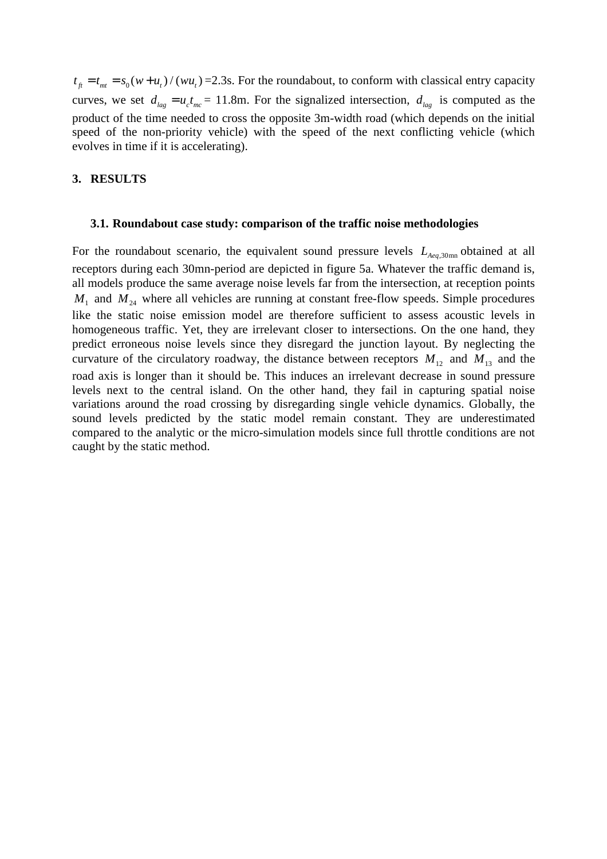$t_{\hat{f}} = t_{\hat{f}} = s_0(w + u_t)/(wu_t) = 2.3$ s. For the roundabout, to conform with classical entry capacity curves, we set  $d_{lag} = u_c t_{mc} = 11.8$ m. For the signalized intersection,  $d_{lag}$  is computed as the product of the time needed to cross the opposite 3m-width road (which depends on the initial speed of the non-priority vehicle) with the speed of the next conflicting vehicle (which evolves in time if it is accelerating).

# **3. RESULTS**

#### **3.1. Roundabout case study: comparison of the traffic noise methodologies**

For the roundabout scenario, the equivalent sound pressure levels  $L_{Aea,30mn}$  obtained at all receptors during each 30mn-period are depicted in figure 5a. Whatever the traffic demand is, all models produce the same average noise levels far from the intersection, at reception points  $M_1$  and  $M_{24}$  where all vehicles are running at constant free-flow speeds. Simple procedures like the static noise emission model are therefore sufficient to assess acoustic levels in homogeneous traffic. Yet, they are irrelevant closer to intersections. On the one hand, they predict erroneous noise levels since they disregard the junction layout. By neglecting the curvature of the circulatory roadway, the distance between receptors  $M_{12}$  and  $M_{13}$  and the road axis is longer than it should be. This induces an irrelevant decrease in sound pressure levels next to the central island. On the other hand, they fail in capturing spatial noise variations around the road crossing by disregarding single vehicle dynamics. Globally, the sound levels predicted by the static model remain constant. They are underestimated compared to the analytic or the micro-simulation models since full throttle conditions are not caught by the static method.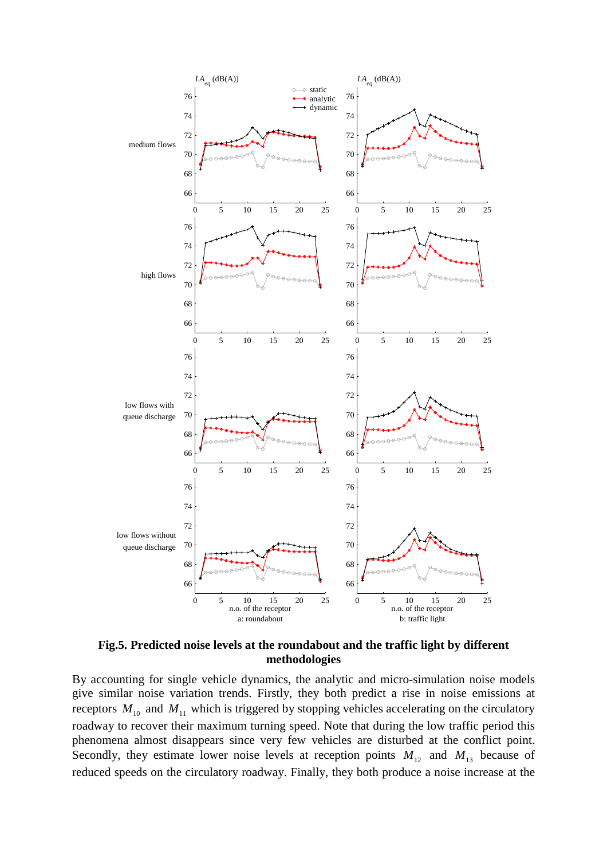

**Fig.5. Predicted noise levels at the roundabout and the traffic light by different methodologies** 

By accounting for single vehicle dynamics, the analytic and micro-simulation noise models give similar noise variation trends. Firstly, they both predict a rise in noise emissions at receptors  $M_{10}$  and  $M_{11}$  which is triggered by stopping vehicles accelerating on the circulatory roadway to recover their maximum turning speed. Note that during the low traffic period this phenomena almost disappears since very few vehicles are disturbed at the conflict point. Secondly, they estimate lower noise levels at reception points  $M_{12}$  and  $M_{13}$  because of reduced speeds on the circulatory roadway. Finally, they both produce a noise increase at the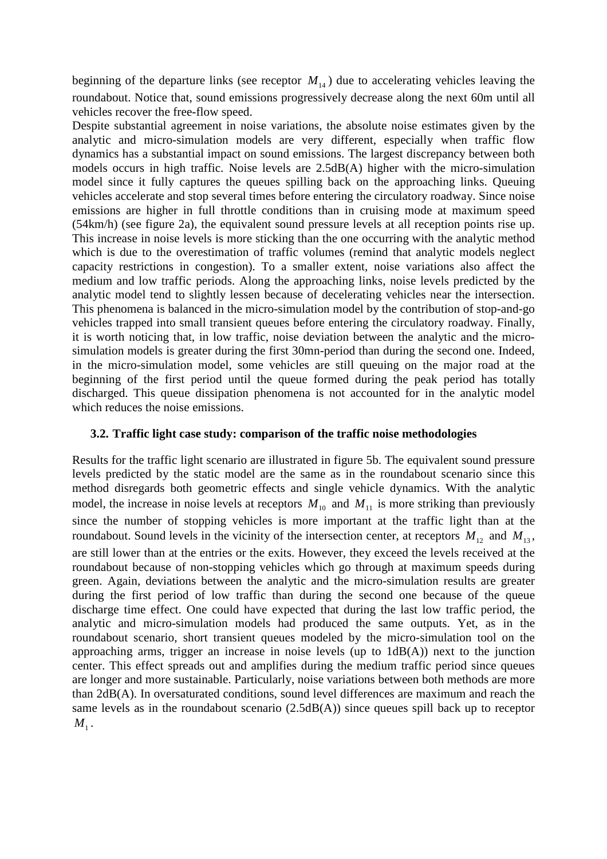beginning of the departure links (see receptor  $M<sub>14</sub>$ ) due to accelerating vehicles leaving the roundabout. Notice that, sound emissions progressively decrease along the next 60m until all vehicles recover the free-flow speed.

Despite substantial agreement in noise variations, the absolute noise estimates given by the analytic and micro-simulation models are very different, especially when traffic flow dynamics has a substantial impact on sound emissions. The largest discrepancy between both models occurs in high traffic. Noise levels are 2.5dB(A) higher with the micro-simulation model since it fully captures the queues spilling back on the approaching links. Queuing vehicles accelerate and stop several times before entering the circulatory roadway. Since noise emissions are higher in full throttle conditions than in cruising mode at maximum speed (54km/h) (see figure 2a), the equivalent sound pressure levels at all reception points rise up. This increase in noise levels is more sticking than the one occurring with the analytic method which is due to the overestimation of traffic volumes (remind that analytic models neglect capacity restrictions in congestion). To a smaller extent, noise variations also affect the medium and low traffic periods. Along the approaching links, noise levels predicted by the analytic model tend to slightly lessen because of decelerating vehicles near the intersection. This phenomena is balanced in the micro-simulation model by the contribution of stop-and-go vehicles trapped into small transient queues before entering the circulatory roadway. Finally, it is worth noticing that, in low traffic, noise deviation between the analytic and the microsimulation models is greater during the first 30mn-period than during the second one. Indeed, in the micro-simulation model, some vehicles are still queuing on the major road at the beginning of the first period until the queue formed during the peak period has totally discharged. This queue dissipation phenomena is not accounted for in the analytic model which reduces the noise emissions.

## **3.2. Traffic light case study: comparison of the traffic noise methodologies**

Results for the traffic light scenario are illustrated in figure 5b. The equivalent sound pressure levels predicted by the static model are the same as in the roundabout scenario since this method disregards both geometric effects and single vehicle dynamics. With the analytic model, the increase in noise levels at receptors  $M_{10}$  and  $M_{11}$  is more striking than previously since the number of stopping vehicles is more important at the traffic light than at the roundabout. Sound levels in the vicinity of the intersection center, at receptors  $M_{12}$  and  $M_{13}$ , are still lower than at the entries or the exits. However, they exceed the levels received at the roundabout because of non-stopping vehicles which go through at maximum speeds during green. Again, deviations between the analytic and the micro-simulation results are greater during the first period of low traffic than during the second one because of the queue discharge time effect. One could have expected that during the last low traffic period, the analytic and micro-simulation models had produced the same outputs. Yet, as in the roundabout scenario, short transient queues modeled by the micro-simulation tool on the approaching arms, trigger an increase in noise levels (up to 1dB(A)) next to the junction center. This effect spreads out and amplifies during the medium traffic period since queues are longer and more sustainable. Particularly, noise variations between both methods are more than 2dB(A). In oversaturated conditions, sound level differences are maximum and reach the same levels as in the roundabout scenario (2.5dB(A)) since queues spill back up to receptor  $M_{_1}$  .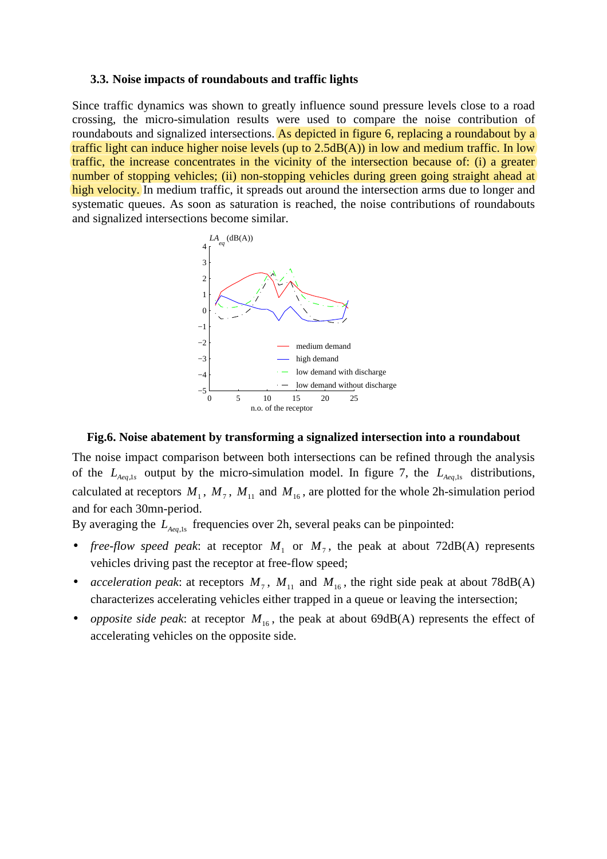### **3.3. Noise impacts of roundabouts and traffic lights**

Since traffic dynamics was shown to greatly influence sound pressure levels close to a road crossing, the micro-simulation results were used to compare the noise contribution of roundabouts and signalized intersections. As depicted in figure 6, replacing a roundabout by a traffic light can induce higher noise levels (up to 2.5dB(A)) in low and medium traffic. In low traffic, the increase concentrates in the vicinity of the intersection because of: (i) a greater number of stopping vehicles; (ii) non-stopping vehicles during green going straight ahead at high velocity. In medium traffic, it spreads out around the intersection arms due to longer and systematic queues. As soon as saturation is reached, the noise contributions of roundabouts and signalized intersections become similar.



## **Fig.6. Noise abatement by transforming a signalized intersection into a roundabout**

The noise impact comparison between both intersections can be refined through the analysis of the  $L_{Aeq,1s}$  output by the micro-simulation model. In figure 7, the  $L_{Aeq,1s}$  distributions, calculated at receptors  $M_1$ ,  $M_7$ ,  $M_{11}$  and  $M_{16}$ , are plotted for the whole 2h-simulation period and for each 30mn-period.

By averaging the *LAeq*,1s frequencies over 2h, several peaks can be pinpointed:

- *free-flow speed peak*: at receptor  $M_1$  or  $M_7$ , the peak at about 72dB(A) represents vehicles driving past the receptor at free-flow speed;
- *acceleration peak*: at receptors  $M_7$ ,  $M_{11}$  and  $M_{16}$ , the right side peak at about 78dB(A) characterizes accelerating vehicles either trapped in a queue or leaving the intersection;
- *opposite side peak*: at receptor  $M_{16}$ , the peak at about 69dB(A) represents the effect of accelerating vehicles on the opposite side.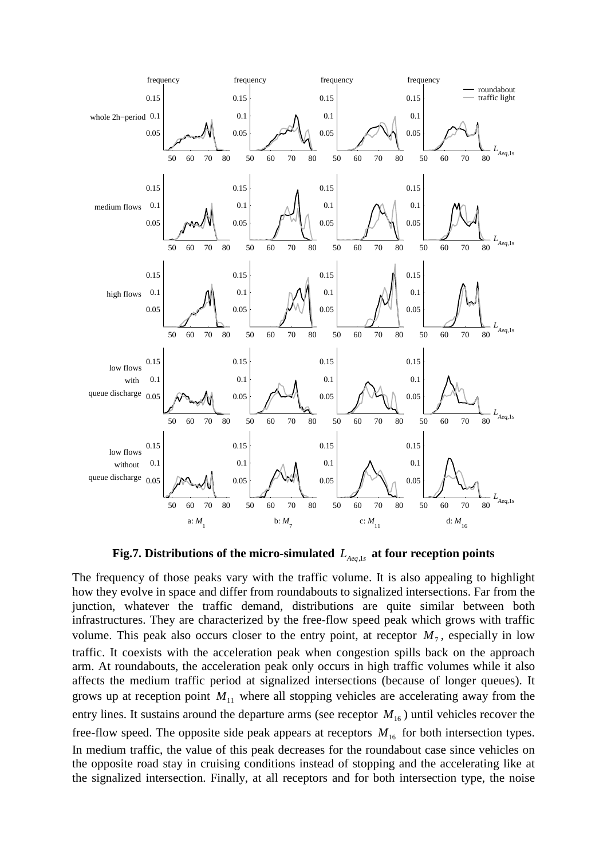

Fig.7. Distributions of the micro-simulated  $L_{Aeq,1s}$  at four reception points

The frequency of those peaks vary with the traffic volume. It is also appealing to highlight how they evolve in space and differ from roundabouts to signalized intersections. Far from the junction, whatever the traffic demand, distributions are quite similar between both infrastructures. They are characterized by the free-flow speed peak which grows with traffic volume. This peak also occurs closer to the entry point, at receptor  $M_7$ , especially in low traffic. It coexists with the acceleration peak when congestion spills back on the approach arm. At roundabouts, the acceleration peak only occurs in high traffic volumes while it also affects the medium traffic period at signalized intersections (because of longer queues). It grows up at reception point  $M_{11}$  where all stopping vehicles are accelerating away from the entry lines. It sustains around the departure arms (see receptor  $M_{16}$ ) until vehicles recover the free-flow speed. The opposite side peak appears at receptors  $M_{16}$  for both intersection types. In medium traffic, the value of this peak decreases for the roundabout case since vehicles on the opposite road stay in cruising conditions instead of stopping and the accelerating like at the signalized intersection. Finally, at all receptors and for both intersection type, the noise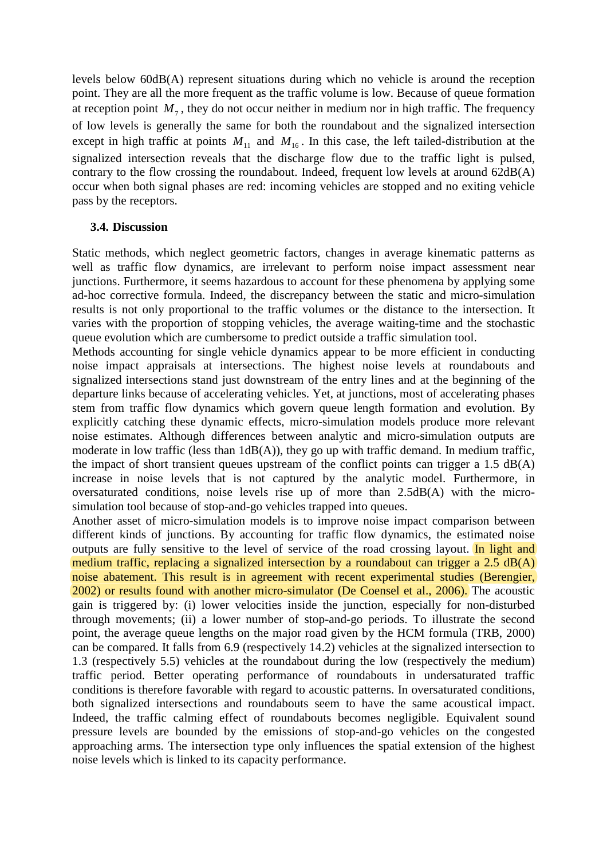levels below 60dB(A) represent situations during which no vehicle is around the reception point. They are all the more frequent as the traffic volume is low. Because of queue formation at reception point  $M_7$ , they do not occur neither in medium nor in high traffic. The frequency of low levels is generally the same for both the roundabout and the signalized intersection except in high traffic at points  $M_{11}$  and  $M_{16}$ . In this case, the left tailed-distribution at the signalized intersection reveals that the discharge flow due to the traffic light is pulsed, contrary to the flow crossing the roundabout. Indeed, frequent low levels at around 62dB(A) occur when both signal phases are red: incoming vehicles are stopped and no exiting vehicle pass by the receptors.

# **3.4. Discussion**

Static methods, which neglect geometric factors, changes in average kinematic patterns as well as traffic flow dynamics, are irrelevant to perform noise impact assessment near junctions. Furthermore, it seems hazardous to account for these phenomena by applying some ad-hoc corrective formula. Indeed, the discrepancy between the static and micro-simulation results is not only proportional to the traffic volumes or the distance to the intersection. It varies with the proportion of stopping vehicles, the average waiting-time and the stochastic queue evolution which are cumbersome to predict outside a traffic simulation tool.

Methods accounting for single vehicle dynamics appear to be more efficient in conducting noise impact appraisals at intersections. The highest noise levels at roundabouts and signalized intersections stand just downstream of the entry lines and at the beginning of the departure links because of accelerating vehicles. Yet, at junctions, most of accelerating phases stem from traffic flow dynamics which govern queue length formation and evolution. By explicitly catching these dynamic effects, micro-simulation models produce more relevant noise estimates. Although differences between analytic and micro-simulation outputs are moderate in low traffic (less than 1dB(A)), they go up with traffic demand. In medium traffic, the impact of short transient queues upstream of the conflict points can trigger a 1.5 dB(A) increase in noise levels that is not captured by the analytic model. Furthermore, in oversaturated conditions, noise levels rise up of more than 2.5dB(A) with the microsimulation tool because of stop-and-go vehicles trapped into queues.

Another asset of micro-simulation models is to improve noise impact comparison between different kinds of junctions. By accounting for traffic flow dynamics, the estimated noise outputs are fully sensitive to the level of service of the road crossing layout. In light and medium traffic, replacing a signalized intersection by a roundabout can trigger a 2.5 dB(A) noise abatement. This result is in agreement with recent experimental studies (Berengier, 2002) or results found with another micro-simulator (De Coensel et al., 2006). The acoustic gain is triggered by: (i) lower velocities inside the junction, especially for non-disturbed through movements; (ii) a lower number of stop-and-go periods. To illustrate the second point, the average queue lengths on the major road given by the HCM formula (TRB, 2000) can be compared. It falls from 6.9 (respectively 14.2) vehicles at the signalized intersection to 1.3 (respectively 5.5) vehicles at the roundabout during the low (respectively the medium) traffic period. Better operating performance of roundabouts in undersaturated traffic conditions is therefore favorable with regard to acoustic patterns. In oversaturated conditions, both signalized intersections and roundabouts seem to have the same acoustical impact. Indeed, the traffic calming effect of roundabouts becomes negligible. Equivalent sound pressure levels are bounded by the emissions of stop-and-go vehicles on the congested approaching arms. The intersection type only influences the spatial extension of the highest noise levels which is linked to its capacity performance.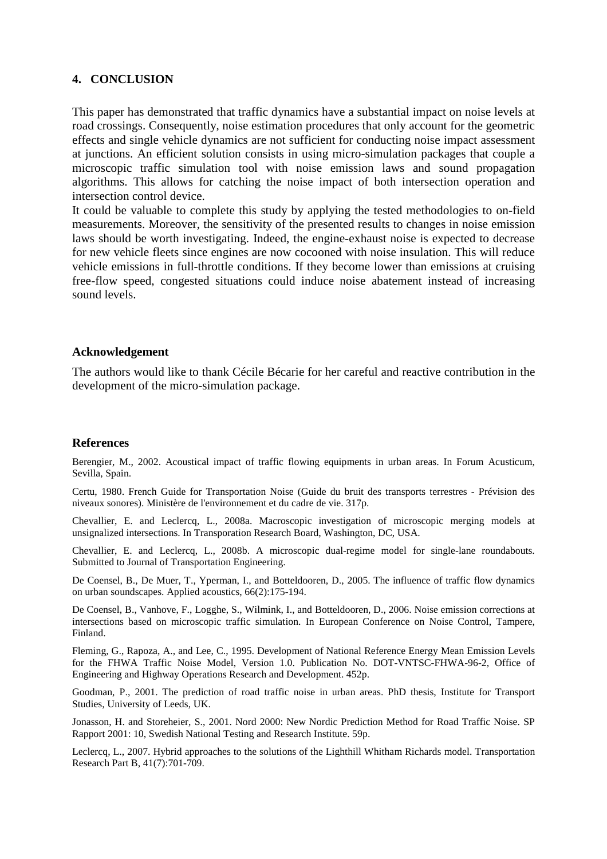## **4. CONCLUSION**

This paper has demonstrated that traffic dynamics have a substantial impact on noise levels at road crossings. Consequently, noise estimation procedures that only account for the geometric effects and single vehicle dynamics are not sufficient for conducting noise impact assessment at junctions. An efficient solution consists in using micro-simulation packages that couple a microscopic traffic simulation tool with noise emission laws and sound propagation algorithms. This allows for catching the noise impact of both intersection operation and intersection control device.

It could be valuable to complete this study by applying the tested methodologies to on-field measurements. Moreover, the sensitivity of the presented results to changes in noise emission laws should be worth investigating. Indeed, the engine-exhaust noise is expected to decrease for new vehicle fleets since engines are now cocooned with noise insulation. This will reduce vehicle emissions in full-throttle conditions. If they become lower than emissions at cruising free-flow speed, congested situations could induce noise abatement instead of increasing sound levels.

## **Acknowledgement**

The authors would like to thank Cécile Bécarie for her careful and reactive contribution in the development of the micro-simulation package.

#### **References**

Berengier, M., 2002. Acoustical impact of traffic flowing equipments in urban areas. In Forum Acusticum, Sevilla, Spain.

Certu, 1980. French Guide for Transportation Noise (Guide du bruit des transports terrestres - Prévision des niveaux sonores). Ministère de l'environnement et du cadre de vie. 317p.

Chevallier, E. and Leclercq, L., 2008a. Macroscopic investigation of microscopic merging models at unsignalized intersections. In Transporation Research Board, Washington, DC, USA.

Chevallier, E. and Leclercq, L., 2008b. A microscopic dual-regime model for single-lane roundabouts. Submitted to Journal of Transportation Engineering.

De Coensel, B., De Muer, T., Yperman, I., and Botteldooren, D., 2005. The influence of traffic flow dynamics on urban soundscapes. Applied acoustics, 66(2):175-194.

De Coensel, B., Vanhove, F., Logghe, S., Wilmink, I., and Botteldooren, D., 2006. Noise emission corrections at intersections based on microscopic traffic simulation. In European Conference on Noise Control, Tampere, Finland.

Fleming, G., Rapoza, A., and Lee, C., 1995. Development of National Reference Energy Mean Emission Levels for the FHWA Traffic Noise Model, Version 1.0. Publication No. DOT-VNTSC-FHWA-96-2, Office of Engineering and Highway Operations Research and Development. 452p.

Goodman, P., 2001. The prediction of road traffic noise in urban areas. PhD thesis, Institute for Transport Studies, University of Leeds, UK.

Jonasson, H. and Storeheier, S., 2001. Nord 2000: New Nordic Prediction Method for Road Traffic Noise. SP Rapport 2001: 10, Swedish National Testing and Research Institute. 59p.

Leclercq, L., 2007. Hybrid approaches to the solutions of the Lighthill Whitham Richards model. Transportation Research Part B, 41(7):701-709.